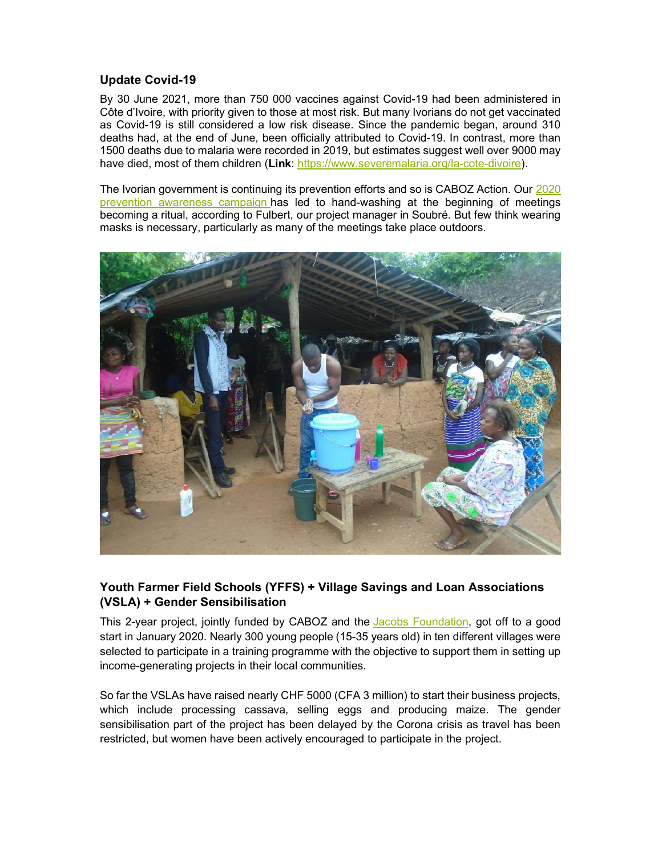## Update Covid-19

By 30 June 2021, more than 750 000 vaccines against Covid-19 had been administered in Côte d'Ivoire, with priority given to those at most risk. But many Ivorians do not get vaccinated as Covid-19 is still considered a low risk disease. Since the pandemic began, around 310 deaths had, at the end of June, been officially attributed to Covid-19. In contrast, more than 1500 deaths due to malaria were recorded in 2019, but estimates suggest well over 9000 may have died, most of them children (Link: https://www.severemalaria.org/la-cote-divoire).

The Ivorian government is continuing its prevention efforts and so is CABOZ Action. Our 2020 prevention awareness campaign has led to hand-washing at the beginning of meetings becoming a ritual, according to Fulbert, our project manager in Soubré. But few think wearing masks is necessary, particularly as many of the meetings take place outdoors.



## Youth Farmer Field Schools (YFFS) + Village Savings and Loan Associations (VSLA) + Gender Sensibilisation

This 2-year project, jointly funded by CABOZ and the Jacobs Foundation, got off to a good start in January 2020. Nearly 300 young people (15-35 years old) in ten different villages were selected to participate in a training programme with the objective to support them in setting up income-generating projects in their local communities.

So far the VSLAs have raised nearly CHF 5000 (CFA 3 million) to start their business projects, which include processing cassava, selling eggs and producing maize. The gender sensibilisation part of the project has been delayed by the Corona crisis as travel has been restricted, but women have been actively encouraged to participate in the project.